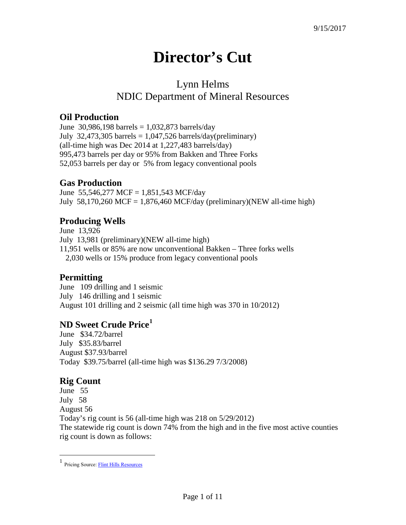# **Director's Cut**

## Lynn Helms NDIC Department of Mineral Resources

#### **Oil Production**

June 30,986,198 barrels =  $1,032,873$  barrels/day July 32,473,305 barrels =  $1,047,526$  barrels/day(preliminary) (all-time high was Dec 2014 at 1,227,483 barrels/day) 995,473 barrels per day or 95% from Bakken and Three Forks 52,053 barrels per day or 5% from legacy conventional pools

### **Gas Production**

June 55,546,277 MCF = 1,851,543 MCF/day July 58,170,260 MCF = 1,876,460 MCF/day (preliminary)(NEW all-time high)

### **Producing Wells**

June 13,926 July 13,981 (preliminary)(NEW all-time high) 11,951 wells or 85% are now unconventional Bakken – Three forks wells 2,030 wells or 15% produce from legacy conventional pools

#### **Permitting**

June 109 drilling and 1 seismic July 146 drilling and 1 seismic August 101 drilling and 2 seismic (all time high was 370 in 10/2012)

#### **ND Sweet Crude Price[1](#page-0-0)**

June \$34.72/barrel July \$35.83/barrel August \$37.93/barrel Today \$39.75/barrel (all-time high was \$136.29 7/3/2008)

#### **Rig Count**

June 55 July 58 August 56 Today's rig count is 56 (all-time high was 218 on 5/29/2012) The statewide rig count is down 74% from the high and in the five most active counties rig count is down as follows:

<span id="page-0-0"></span> $\frac{1}{1}$ Pricing Source[: Flint Hills Resources](http://www.fhr.com/refining/bulletins.aspx?AspxAutoDetectCookieSupport=1)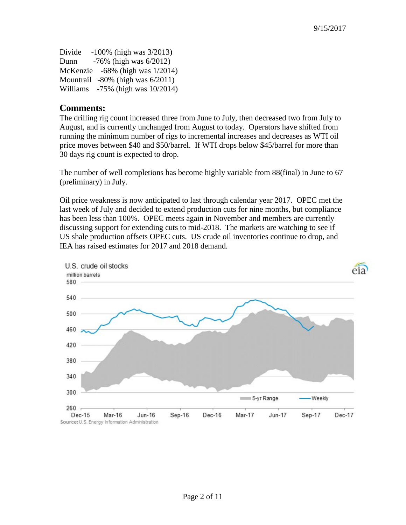| Divide | $-100\%$ (high was $3/2013$ )          |
|--------|----------------------------------------|
| Dunn   | $-76\%$ (high was $6/2012$ )           |
|        | McKenzie $-68\%$ (high was $1/2014$ )  |
|        | Mountrail $-80\%$ (high was $6/2011$ ) |
|        | Williams $-75\%$ (high was $10/2014$ ) |

#### **Comments:**

The drilling rig count increased three from June to July, then decreased two from July to August, and is currently unchanged from August to today. Operators have shifted from running the minimum number of rigs to incremental increases and decreases as WTI oil price moves between \$40 and \$50/barrel. If WTI drops below \$45/barrel for more than 30 days rig count is expected to drop.

The number of well completions has become highly variable from 88(final) in June to 67 (preliminary) in July.

Oil price weakness is now anticipated to last through calendar year 2017. OPEC met the last week of July and decided to extend production cuts for nine months, but compliance has been less than 100%. OPEC meets again in November and members are currently discussing support for extending cuts to mid-2018. The markets are watching to see if US shale production offsets OPEC cuts. US crude oil inventories continue to drop, and IEA has raised estimates for 2017 and 2018 demand.

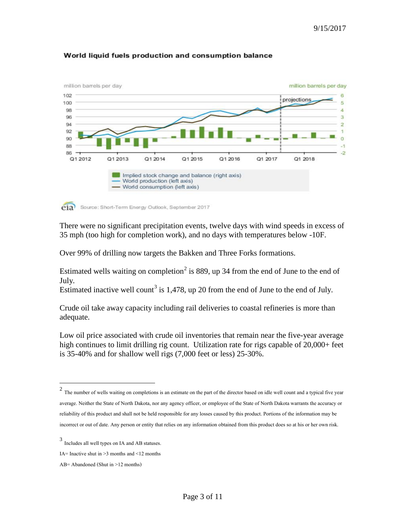

#### World liquid fuels production and consumption balance

eia Source: Short-Term Energy Outlook, September 2017

There were no significant precipitation events, twelve days with wind speeds in excess of 35 mph (too high for completion work), and no days with temperatures below -10F.

Over 99% of drilling now targets the Bakken and Three Forks formations.

Estimated wells waiting on completion<sup>[2](#page-2-0)</sup> is 889, up 34 from the end of June to the end of July.

Estimated inactive well count<sup>[3](#page-2-1)</sup> is 1,478, up 20 from the end of June to the end of July.

Crude oil take away capacity including rail deliveries to coastal refineries is more than adequate.

Low oil price associated with crude oil inventories that remain near the five-year average high continues to limit drilling rig count. Utilization rate for rigs capable of 20,000+ feet is 35-40% and for shallow well rigs (7,000 feet or less) 25-30%.

<span id="page-2-0"></span><sup>&</sup>lt;sup>2</sup> The number of wells waiting on completions is an estimate on the part of the director based on idle well count and a typical five year average. Neither the State of North Dakota, nor any agency officer, or employee of the State of North Dakota warrants the accuracy or reliability of this product and shall not be held responsible for any losses caused by this product. Portions of the information may be incorrect or out of date. Any person or entity that relies on any information obtained from this product does so at his or her own risk.

<span id="page-2-1"></span><sup>3</sup> Includes all well types on IA and AB statuses.

IA= Inactive shut in  $\geq$ 3 months and  $\leq$ 12 months

AB= Abandoned (Shut in >12 months)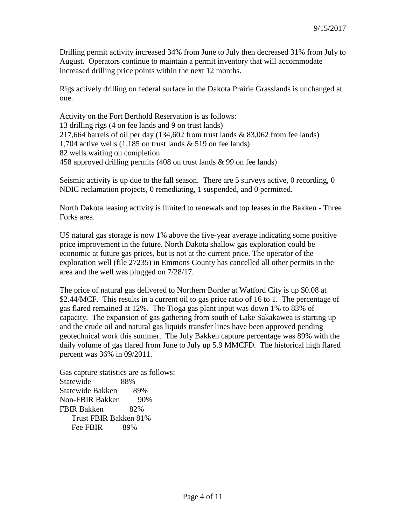Drilling permit activity increased 34% from June to July then decreased 31% from July to August. Operators continue to maintain a permit inventory that will accommodate increased drilling price points within the next 12 months.

Rigs actively drilling on federal surface in the Dakota Prairie Grasslands is unchanged at one.

Activity on the Fort Berthold Reservation is as follows: 13 drilling rigs (4 on fee lands and 9 on trust lands) 217,664 barrels of oil per day (134,602 from trust lands & 83,062 from fee lands) 1,704 active wells (1,185 on trust lands & 519 on fee lands) 82 wells waiting on completion 458 approved drilling permits (408 on trust lands & 99 on fee lands)

Seismic activity is up due to the fall season. There are 5 surveys active, 0 recording, 0 NDIC reclamation projects, 0 remediating, 1 suspended, and 0 permitted.

North Dakota leasing activity is limited to renewals and top leases in the Bakken - Three Forks area.

US natural gas storage is now 1% above the five-year average indicating some positive price improvement in the future. North Dakota shallow gas exploration could be economic at future gas prices, but is not at the current price. The operator of the exploration well (file 27235) in Emmons County has cancelled all other permits in the area and the well was plugged on 7/28/17.

The price of natural gas delivered to Northern Border at Watford City is up \$0.08 at \$2.44/MCF. This results in a current oil to gas price ratio of 16 to 1. The percentage of gas flared remained at 12%. The Tioga gas plant input was down 1% to 83% of capacity. The expansion of gas gathering from south of Lake Sakakawea is starting up and the crude oil and natural gas liquids transfer lines have been approved pending geotechnical work this summer. The July Bakken capture percentage was 89% with the daily volume of gas flared from June to July up 5.9 MMCFD. The historical high flared percent was 36% in 09/2011.

Gas capture statistics are as follows: Statewide 88% Statewide Bakken 89% Non-FBIR Bakken 90% FBIR Bakken 82% Trust FBIR Bakken 81% Fee FBIR 89%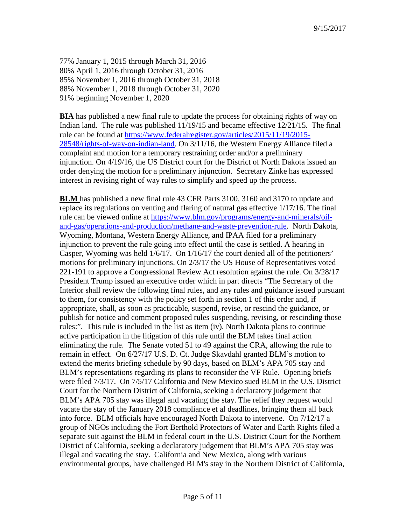77% January 1, 2015 through March 31, 2016 80% April 1, 2016 through October 31, 2016 85% November 1, 2016 through October 31, 2018 88% November 1, 2018 through October 31, 2020 91% beginning November 1, 2020

**BIA** has published a new final rule to update the process for obtaining rights of way on Indian land. The rule was published 11/19/15 and became effective 12/21/15. The final rule can be found at [https://www.federalregister.gov/articles/2015/11/19/2015-](https://www.federalregister.gov/articles/2015/11/19/2015-28548/rights-of-way-on-indian-land) [28548/rights-of-way-on-indian-land.](https://www.federalregister.gov/articles/2015/11/19/2015-28548/rights-of-way-on-indian-land) On 3/11/16, the Western Energy Alliance filed a complaint and motion for a temporary restraining order and/or a preliminary injunction. On 4/19/16, the US District court for the District of North Dakota issued an order denying the motion for a preliminary injunction. Secretary Zinke has expressed interest in revising right of way rules to simplify and speed up the process.

**BLM** has published a new final rule 43 CFR Parts 3100, 3160 and 3170 to update and replace its regulations on venting and flaring of natural gas effective 1/17/16. The final rule can be viewed online at [https://www.blm.gov/programs/energy-and-minerals/oil](https://www.blm.gov/programs/energy-and-minerals/oil-and-gas/operations-and-production/methane-and-waste-prevention-rule)[and-gas/operations-and-production/methane-and-waste-prevention-rule.](https://www.blm.gov/programs/energy-and-minerals/oil-and-gas/operations-and-production/methane-and-waste-prevention-rule) North Dakota, Wyoming, Montana, Western Energy Alliance, and IPAA filed for a preliminary injunction to prevent the rule going into effect until the case is settled. A hearing in Casper, Wyoming was held 1/6/17. On 1/16/17 the court denied all of the petitioners' motions for preliminary injunctions. On 2/3/17 the US House of Representatives voted 221-191 to approve a Congressional Review Act resolution against the rule. On 3/28/17 President Trump issued an executive order which in part directs "The Secretary of the Interior shall review the following final rules, and any rules and guidance issued pursuant to them, for consistency with the policy set forth in section 1 of this order and, if appropriate, shall, as soon as practicable, suspend, revise, or rescind the guidance, or publish for notice and comment proposed rules suspending, revising, or rescinding those rules:". This rule is included in the list as item (iv). North Dakota plans to continue active participation in the litigation of this rule until the BLM takes final action eliminating the rule. The Senate voted 51 to 49 against the CRA, allowing the rule to remain in effect. On 6/27/17 U.S. D. Ct. Judge Skavdahl granted BLM's motion to extend the merits briefing schedule by 90 days, based on BLM's APA 705 stay and BLM's representations regarding its plans to reconsider the VF Rule. Opening briefs were filed 7/3/17. On 7/5/17 California and New Mexico sued BLM in the U.S. District Court for the Northern District of California, seeking a declaratory judgement that BLM's APA 705 stay was illegal and vacating the stay. The relief they request would vacate the stay of the January 2018 compliance et al deadlines, bringing them all back into force. BLM officials have encouraged North Dakota to intervene. On 7/12/17 a group of NGOs including the Fort Berthold Protectors of Water and Earth Rights filed a separate suit against the BLM in federal court in the U.S. District Court for the Northern District of California, seeking a declaratory judgement that BLM's APA 705 stay was illegal and vacating the stay. California and New Mexico, along with various environmental groups, have challenged BLM's stay in the Northern District of California,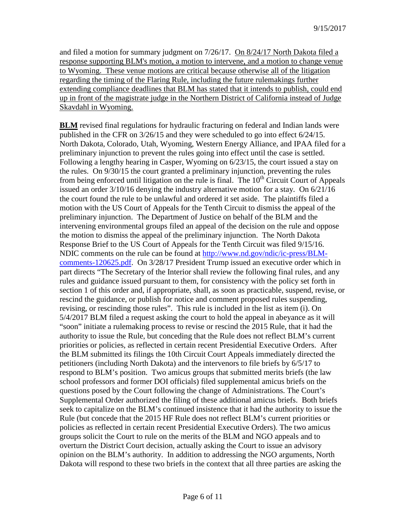and filed a motion for summary judgment on 7/26/17. On 8/24/17 North Dakota filed a response supporting BLM's motion, a motion to intervene, and a motion to change venue to Wyoming. These venue motions are critical because otherwise all of the litigation regarding the timing of the Flaring Rule, including the future rulemakings further extending compliance deadlines that BLM has stated that it intends to publish, could end up in front of the magistrate judge in the Northern District of California instead of Judge Skavdahl in Wyoming.

**BLM** revised final regulations for hydraulic fracturing on federal and Indian lands were published in the CFR on 3/26/15 and they were scheduled to go into effect 6/24/15. North Dakota, Colorado, Utah, Wyoming, Western Energy Alliance, and IPAA filed for a preliminary injunction to prevent the rules going into effect until the case is settled. Following a lengthy hearing in Casper, Wyoming on 6/23/15, the court issued a stay on the rules. On 9/30/15 the court granted a preliminary injunction, preventing the rules from being enforced until litigation on the rule is final. The  $10<sup>th</sup>$  Circuit Court of Appeals issued an order 3/10/16 denying the industry alternative motion for a stay. On 6/21/16 the court found the rule to be unlawful and ordered it set aside. The plaintiffs filed a motion with the US Court of Appeals for the Tenth Circuit to dismiss the appeal of the preliminary injunction. The Department of Justice on behalf of the BLM and the intervening environmental groups filed an appeal of the decision on the rule and oppose the motion to dismiss the appeal of the preliminary injunction. The North Dakota Response Brief to the US Court of Appeals for the Tenth Circuit was filed 9/15/16. NDIC comments on the rule can be found at [http://www.nd.gov/ndic/ic-press/BLM](http://www.nd.gov/ndic/ic-press/BLM-comments-120625.pdf)[comments-120625.pdf.](http://www.nd.gov/ndic/ic-press/BLM-comments-120625.pdf) On 3/28/17 President Trump issued an executive order which in part directs "The Secretary of the Interior shall review the following final rules, and any rules and guidance issued pursuant to them, for consistency with the policy set forth in section 1 of this order and, if appropriate, shall, as soon as practicable, suspend, revise, or rescind the guidance, or publish for notice and comment proposed rules suspending, revising, or rescinding those rules". This rule is included in the list as item (i). On 5/4/2017 BLM filed a request asking the court to hold the appeal in abeyance as it will "soon" initiate a rulemaking process to revise or rescind the 2015 Rule, that it had the authority to issue the Rule, but conceding that the Rule does not reflect BLM's current priorities or policies, as reflected in certain recent Presidential Executive Orders. After the BLM submitted its filings the 10th Circuit Court Appeals immediately directed the petitioners (including North Dakota) and the intervenors to file briefs by 6/5/17 to respond to BLM's position. Two amicus groups that submitted merits briefs (the law school professors and former DOI officials) filed supplemental amicus briefs on the questions posed by the Court following the change of Administrations. The Court's Supplemental Order authorized the filing of these additional amicus briefs. Both briefs seek to capitalize on the BLM's continued insistence that it had the authority to issue the Rule (but concede that the 2015 HF Rule does not reflect BLM's current priorities or policies as reflected in certain recent Presidential Executive Orders). The two amicus groups solicit the Court to rule on the merits of the BLM and NGO appeals and to overturn the District Court decision, actually asking the Court to issue an advisory opinion on the BLM's authority. In addition to addressing the NGO arguments, North Dakota will respond to these two briefs in the context that all three parties are asking the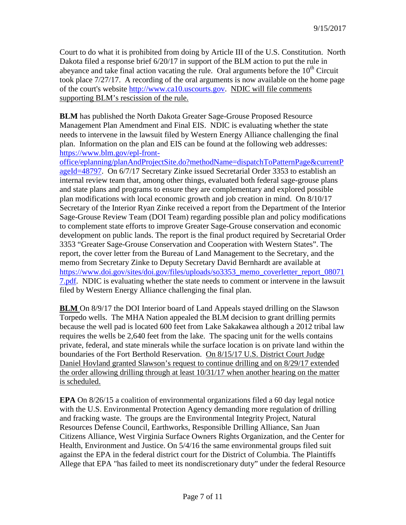Court to do what it is prohibited from doing by Article III of the U.S. Constitution. North Dakota filed a response brief 6/20/17 in support of the BLM action to put the rule in abeyance and take final action vacating the rule. Oral arguments before the  $10<sup>th</sup>$  Circuit took place 7/27/17. A recording of the oral arguments is now available on the home page of the court's website [http://www.ca10.uscourts.gov.](https://urldefense.proofpoint.com/v2/url?u=http-3A__www.ca10.uscourts.gov&d=DwMGaQ&c=2s2mvbfY0UoSKkl6_Ol9wg&r=-wqsZnBxny594KY8HeElow&m=Ul_VtJUX6iW5pvHjCcBxUWtskC0F4Dhry3sPtcEHvCw&s=laRHiLDv5w8otcQWQjpn82WMieoB2AZ-Q4M1LFQPL5s&e=) NDIC will file comments supporting BLM's rescission of the rule.

**BLM** has published the North Dakota Greater Sage-Grouse Proposed Resource Management Plan Amendment and Final EIS. NDIC is evaluating whether the state needs to intervene in the lawsuit filed by Western Energy Alliance challenging the final plan. Information on the plan and EIS can be found at the following web addresses: [https://www.blm.gov/epl-front-](https://www.blm.gov/epl-front-office/eplanning/planAndProjectSite.do?methodName=dispatchToPatternPage¤tPageId=48797)

[office/eplanning/planAndProjectSite.do?methodName=dispatchToPatternPage&currentP](https://www.blm.gov/epl-front-office/eplanning/planAndProjectSite.do?methodName=dispatchToPatternPage¤tPageId=48797) [ageId=48797.](https://www.blm.gov/epl-front-office/eplanning/planAndProjectSite.do?methodName=dispatchToPatternPage¤tPageId=48797) On 6/7/17 Secretary Zinke issued Secretarial Order 3353 to establish an internal review team that, among other things, evaluated both federal sage-grouse plans and state plans and programs to ensure they are complementary and explored possible plan modifications with local economic growth and job creation in mind. On 8/10/17 Secretary of the Interior Ryan Zinke received a report from the Department of the Interior Sage-Grouse Review Team (DOI Team) regarding possible plan and policy modifications to complement state efforts to improve Greater Sage-Grouse conservation and economic development on public lands. The report is the final product required by Secretarial Order 3353 "Greater Sage-Grouse Conservation and Cooperation with Western States". The report, the cover letter from the Bureau of Land Management to the Secretary, and the memo from Secretary Zinke to Deputy Secretary David Bernhardt are available at https://www.doi.gov/sites/doi.gov/files/uploads/so3353 memo\_coverletter\_report\_08071 [7.pdf.](https://www.doi.gov/sites/doi.gov/files/uploads/so3353_memo_coverletter_report_080717.pdf) NDIC is evaluating whether the state needs to comment or intervene in the lawsuit filed by Western Energy Alliance challenging the final plan.

**BLM** On 8/9/17 the DOI Interior board of Land Appeals stayed drilling on the Slawson Torpedo wells. The MHA Nation appealed the BLM decision to grant drilling permits because the well pad is located 600 feet from Lake Sakakawea although a 2012 tribal law requires the wells be 2,640 feet from the lake. The spacing unit for the wells contains private, federal, and state minerals while the surface location is on private land within the boundaries of the Fort Berthold Reservation. On 8/15/17 U.S. District Court Judge Daniel Hovland granted Slawson's request to continue drilling and on 8/29/17 extended the order allowing drilling through at least 10/31/17 when another hearing on the matter is scheduled.

**EPA** On 8/26/15 a coalition of environmental organizations filed a 60 day legal notice with the U.S. Environmental Protection Agency demanding more regulation of drilling and fracking waste. The groups are the Environmental Integrity Project, Natural Resources Defense Council, Earthworks, Responsible Drilling Alliance, San Juan Citizens Alliance, West Virginia Surface Owners Rights Organization, and the Center for Health, Environment and Justice. On 5/4/16 the same environmental groups filed suit against the EPA in the federal district court for the District of Columbia. The Plaintiffs Allege that EPA "has failed to meet its nondiscretionary duty" under the federal Resource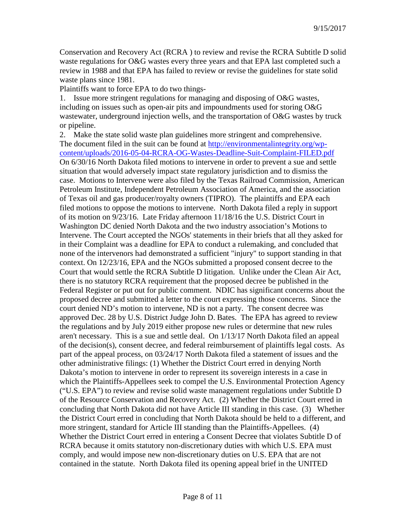Conservation and Recovery Act (RCRA ) to review and revise the RCRA Subtitle D solid waste regulations for O&G wastes every three years and that EPA last completed such a review in 1988 and that EPA has failed to review or revise the guidelines for state solid waste plans since 1981.

Plaintiffs want to force EPA to do two things-

1. Issue more stringent regulations for managing and disposing of O&G wastes, including on issues such as open-air pits and impoundments used for storing O&G wastewater, underground injection wells, and the transportation of O&G wastes by truck or pipeline.

2. Make the state solid waste plan guidelines more stringent and comprehensive. The document filed in the suit can be found at [http://environmentalintegrity.org/wp](http://environmentalintegrity.org/wp-content/uploads/2016-05-04-RCRA-OG-Wastes-Deadline-Suit-Complaint-FILED.pdf)[content/uploads/2016-05-04-RCRA-OG-Wastes-Deadline-Suit-Complaint-FILED.pdf](http://environmentalintegrity.org/wp-content/uploads/2016-05-04-RCRA-OG-Wastes-Deadline-Suit-Complaint-FILED.pdf) On 6/30/16 North Dakota filed motions to intervene in order to prevent a sue and settle situation that would adversely impact state regulatory jurisdiction and to dismiss the case. Motions to Intervene were also filed by the Texas Railroad Commission, American Petroleum Institute, Independent Petroleum Association of America, and the association of Texas oil and gas producer/royalty owners (TIPRO). The plaintiffs and EPA each filed motions to oppose the motions to intervene. North Dakota filed a reply in support of its motion on 9/23/16. Late Friday afternoon 11/18/16 the U.S. District Court in Washington DC denied North Dakota and the two industry association's Motions to Intervene. The Court accepted the NGOs' statements in their briefs that all they asked for in their Complaint was a deadline for EPA to conduct a rulemaking, and concluded that none of the intervenors had demonstrated a sufficient "injury" to support standing in that context. On 12/23/16, EPA and the NGOs submitted a proposed consent decree to the Court that would settle the RCRA Subtitle D litigation. Unlike under the Clean Air Act, there is no statutory RCRA requirement that the proposed decree be published in the Federal Register or put out for public comment. NDIC has significant concerns about the proposed decree and submitted a letter to the court expressing those concerns. Since the court denied ND's motion to intervene, ND is not a party. The consent decree was approved Dec. 28 by U.S. District Judge John D. Bates. The EPA has agreed to review the regulations and by July 2019 either propose new rules or determine that new rules aren't necessary. This is a sue and settle deal. On 1/13/17 North Dakota filed an appeal of the decision(s), consent decree, and federal reimbursement of plaintiffs legal costs. As part of the appeal process, on 03/24/17 North Dakota filed a statement of issues and the other administrative filings: (1) Whether the District Court erred in denying North Dakota's motion to intervene in order to represent its sovereign interests in a case in which the Plaintiffs-Appellees seek to compel the U.S. Environmental Protection Agency ("U.S. EPA") to review and revise solid waste management regulations under Subtitle D of the Resource Conservation and Recovery Act. (2) Whether the District Court erred in concluding that North Dakota did not have Article III standing in this case. (3) Whether the District Court erred in concluding that North Dakota should be held to a different, and more stringent, standard for Article III standing than the Plaintiffs-Appellees. (4) Whether the District Court erred in entering a Consent Decree that violates Subtitle D of RCRA because it omits statutory non-discretionary duties with which U.S. EPA must comply, and would impose new non-discretionary duties on U.S. EPA that are not contained in the statute. North Dakota filed its opening appeal brief in the UNITED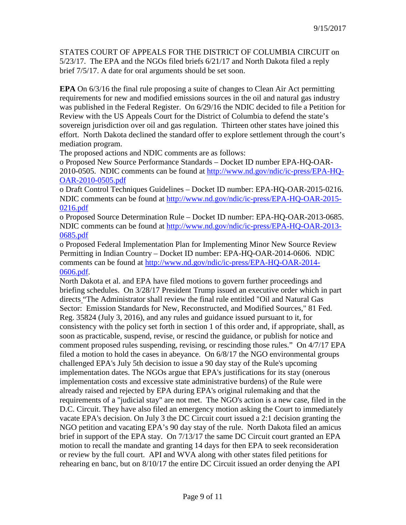STATES COURT OF APPEALS FOR THE DISTRICT OF COLUMBIA CIRCUIT on 5/23/17. The EPA and the NGOs filed briefs 6/21/17 and North Dakota filed a reply brief 7/5/17. A date for oral arguments should be set soon.

**EPA** On 6/3/16 the final rule proposing a suite of changes to Clean Air Act permitting requirements for new and modified emissions sources in the oil and natural gas industry was published in the Federal Register. On 6/29/16 the NDIC decided to file a Petition for Review with the US Appeals Court for the District of Columbia to defend the state's sovereign jurisdiction over oil and gas regulation. Thirteen other states have joined this effort. North Dakota declined the standard offer to explore settlement through the court's mediation program.

The proposed actions and NDIC comments are as follows:

o Proposed New Source Performance Standards – Docket ID number EPA-HQ-OAR-2010-0505. NDIC comments can be found at [http://www.nd.gov/ndic/ic-press/EPA-HQ-](http://www.nd.gov/ndic/ic-press/EPA-HQ-OAR-2010-0505.pdf)[OAR-2010-0505.pdf](http://www.nd.gov/ndic/ic-press/EPA-HQ-OAR-2010-0505.pdf)

o Draft Control Techniques Guidelines – Docket ID number: EPA-HQ-OAR-2015-0216. NDIC comments can be found at [http://www.nd.gov/ndic/ic-press/EPA-HQ-OAR-2015-](http://www.nd.gov/ndic/ic-press/EPA-HQ-OAR-2015-0216.pdf) [0216.pdf](http://www.nd.gov/ndic/ic-press/EPA-HQ-OAR-2015-0216.pdf)

o Proposed Source Determination Rule – Docket ID number: EPA-HQ-OAR-2013-0685. NDIC comments can be found at [http://www.nd.gov/ndic/ic-press/EPA-HQ-OAR-2013-](http://www.nd.gov/ndic/ic-press/EPA-HQ-OAR-2013-0685.pdf) [0685.pdf](http://www.nd.gov/ndic/ic-press/EPA-HQ-OAR-2013-0685.pdf)

o Proposed Federal Implementation Plan for Implementing Minor New Source Review Permitting in Indian Country – Docket ID number: EPA-HQ-OAR-2014-0606. NDIC comments can be found at [http://www.nd.gov/ndic/ic-press/EPA-HQ-OAR-2014-](http://www.nd.gov/ndic/ic-press/EPA-HQ-OAR-2014-0606.pdf) [0606.pdf.](http://www.nd.gov/ndic/ic-press/EPA-HQ-OAR-2014-0606.pdf)

North Dakota et al. and EPA have filed motions to govern further proceedings and briefing schedules. On 3/28/17 President Trump issued an executive order which in part directs "The Administrator shall review the final rule entitled "Oil and Natural Gas Sector: Emission Standards for New, Reconstructed, and Modified Sources," 81 Fed. Reg. 35824 (July 3, 2016), and any rules and guidance issued pursuant to it, for consistency with the policy set forth in section 1 of this order and, if appropriate, shall, as soon as practicable, suspend, revise, or rescind the guidance, or publish for notice and comment proposed rules suspending, revising, or rescinding those rules." On 4/7/17 EPA filed a motion to hold the cases in abeyance. On 6/8/17 the NGO environmental groups challenged EPA's July 5th decision to issue a 90 day stay of the Rule's upcoming implementation dates. The NGOs argue that EPA's justifications for its stay (onerous implementation costs and excessive state administrative burdens) of the Rule were already raised and rejected by EPA during EPA's original rulemaking and that the requirements of a "judicial stay" are not met. The NGO's action is a new case, filed in the D.C. Circuit. They have also filed an emergency motion asking the Court to immediately vacate EPA's decision. On July 3 the DC Circuit court issued a 2:1 decision granting the NGO petition and vacating EPA's 90 day stay of the rule. North Dakota filed an amicus brief in support of the EPA stay. On 7/13/17 the same DC Circuit court granted an EPA motion to recall the mandate and granting 14 days for then EPA to seek reconsideration or review by the full court. API and WVA along with other states filed petitions for rehearing en banc, but on 8/10/17 the entire DC Circuit issued an order denying the API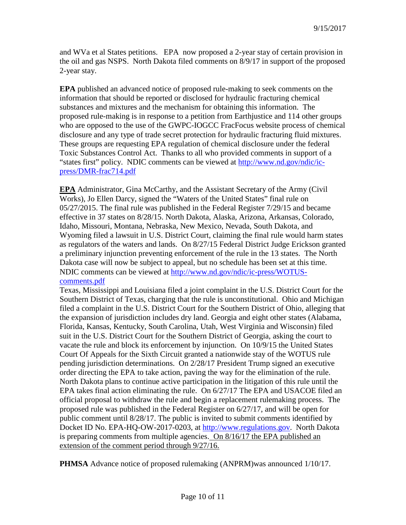and WVa et al States petitions. EPA now proposed a 2-year stay of certain provision in the oil and gas NSPS. North Dakota filed comments on 8/9/17 in support of the proposed 2-year stay.

**EPA** published an advanced notice of proposed rule-making to seek comments on the information that should be reported or disclosed for hydraulic fracturing chemical substances and mixtures and the mechanism for obtaining this information. The proposed rule-making is in response to a petition from Earthjustice and 114 other groups who are opposed to the use of the GWPC-IOGCC FracFocus website process of chemical disclosure and any type of trade secret protection for hydraulic fracturing fluid mixtures. These groups are requesting EPA regulation of chemical disclosure under the federal Toxic Substances Control Act. Thanks to all who provided comments in support of a "states first" policy. NDIC comments can be viewed at [http://www.nd.gov/ndic/ic](http://www.nd.gov/ndic/ic-press/DMR-frac714.pdf)[press/DMR-frac714.pdf](http://www.nd.gov/ndic/ic-press/DMR-frac714.pdf)

**EPA** Administrator, Gina McCarthy, and the Assistant Secretary of the Army (Civil Works), Jo Ellen Darcy, signed the "Waters of the United States" final rule on 05/27/2015. The final rule was published in the Federal Register 7/29/15 and became effective in 37 states on 8/28/15. North Dakota, Alaska, Arizona, Arkansas, Colorado, Idaho, Missouri, Montana, Nebraska, New Mexico, Nevada, South Dakota, and Wyoming filed a lawsuit in U.S. District Court, claiming the final rule would harm states as regulators of the waters and lands. On 8/27/15 Federal District Judge Erickson granted a preliminary injunction preventing enforcement of the rule in the 13 states. The North Dakota case will now be subject to appeal, but no schedule has been set at this time. NDIC comments can be viewed at [http://www.nd.gov/ndic/ic-press/WOTUS](http://www.nd.gov/ndic/ic-press/WOTUS-comments.pdf)[comments.pdf](http://www.nd.gov/ndic/ic-press/WOTUS-comments.pdf)

Texas, Mississippi and Louisiana filed a joint complaint in the U.S. District Court for the Southern District of Texas, charging that the rule is unconstitutional. Ohio and Michigan filed a complaint in the U.S. District Court for the Southern District of Ohio, alleging that the expansion of jurisdiction includes dry land. Georgia and eight other states (Alabama, Florida, Kansas, Kentucky, South Carolina, Utah, West Virginia and Wisconsin) filed suit in the U.S. District Court for the Southern District of Georgia, asking the court to vacate the rule and block its enforcement by injunction. On 10/9/15 the United States Court Of Appeals for the Sixth Circuit granted a nationwide stay of the WOTUS rule pending jurisdiction determinations. On 2/28/17 President Trump signed an executive order directing the EPA to take action, paving the way for the elimination of the rule. North Dakota plans to continue active participation in the litigation of this rule until the EPA takes final action eliminating the rule. On 6/27/17 The EPA and USACOE filed an official proposal to withdraw the rule and begin a replacement rulemaking process. The proposed rule was published in the Federal Register on 6/27/17, and will be open for public comment until 8/28/17. The public is invited to submit comments identified by Docket ID No. EPA-HQ-OW-2017-0203, at [http://www.regulations.gov.](http://www.regulations.gov/) North Dakota is preparing comments from multiple agencies. On 8/16/17 the EPA published an extension of the comment period through 9/27/16.

**PHMSA** Advance notice of proposed rulemaking (ANPRM)was announced  $1/10/17$ .